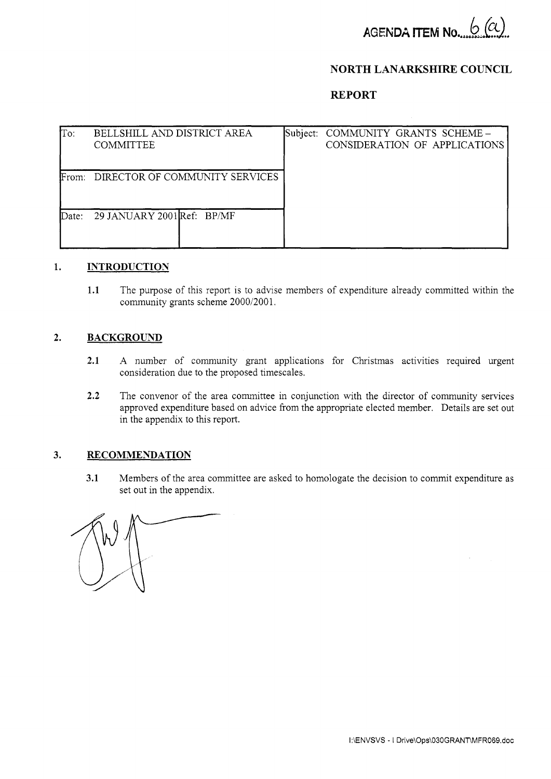

# **NORTH LANARKSHIRE COUNCIL**

# **REPORT**

| To:              | BELLSHILL AND DISTRICT AREA<br><b>COMMITTEE</b> |  | Subject: COMMUNITY GRANTS SCHEME -<br>CONSIDERATION OF APPLICATIONS |
|------------------|-------------------------------------------------|--|---------------------------------------------------------------------|
| From:            | DIRECTOR OF COMMUNITY SERVICES                  |  |                                                                     |
| $\mathbf{Date}:$ | 29 JANUARY 2001 Ref: BP/MF                      |  |                                                                     |

#### **1. INTRODUCTION**

**1.1** The purpose of this report is to advise members of expenditure already committed within the community grants scheme 2000/2001,

### **2. BACKGROUND**

- **2.1** A number of community grant applications for Christmas activities required urgent consideration due to the proposed timescales.
- **2.2** The convenor of the area committee in conjunction with the director of community services approved expenditure based on advice from the appropriate elected member. Details are set out in the appendix to this report.

## **3. RECOMMENDATION**

**3.1** Members of the area committee are asked to homologate the decision to commit expenditure as set out in the appendix.

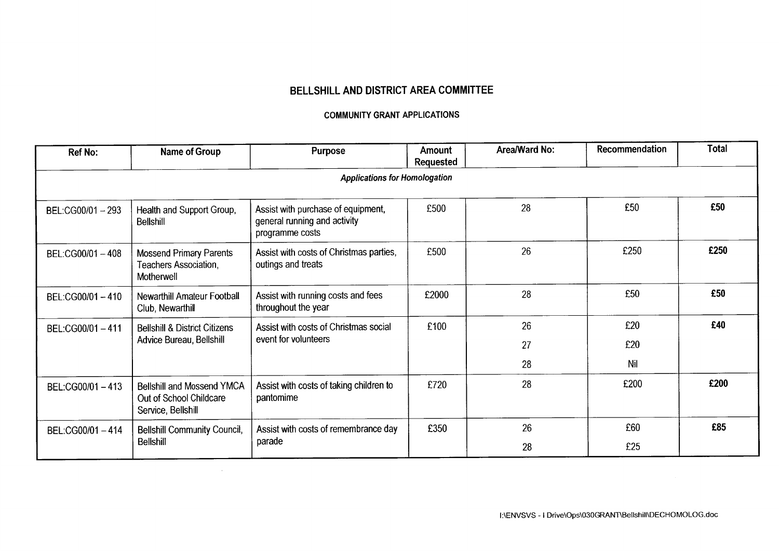# BELLSHILL AND DISTRICT AREA COMMITTEE

### **COMMUNITY GRANT APPLICATIONS**

| <b>Ref No:</b>  | Name of Group                                                                      | <b>Purpose</b>                                                                        | Amount<br>Requested | Area/Ward No: | Recommendation | Total |
|-----------------|------------------------------------------------------------------------------------|---------------------------------------------------------------------------------------|---------------------|---------------|----------------|-------|
|                 |                                                                                    | <b>Applications for Homologation</b>                                                  |                     |               |                |       |
| BEL:CG00/01-293 | Health and Support Group,<br><b>Bellshill</b>                                      | Assist with purchase of equipment,<br>general running and activity<br>programme costs | £500                | 28            | £50            | £50   |
| BEL:CG00/01-408 | <b>Mossend Primary Parents</b><br>Teachers Association,<br>Motherwell              | Assist with costs of Christmas parties,<br>outings and treats                         | £500                | 26            | £250           | £250  |
| BEL:CG00/01-410 | <b>Newarthill Amateur Football</b><br>Club, Newarthill                             | Assist with running costs and fees<br>throughout the year                             | £2000               | 28            | £50            | £50   |
| BEL:CG00/01-411 | <b>Bellshill &amp; District Citizens</b>                                           | Assist with costs of Christmas social                                                 | £100                | 26            | £20            | £40   |
|                 | event for volunteers<br>Advice Bureau, Bellshill                                   |                                                                                       | 27                  |               | £20            |       |
|                 |                                                                                    |                                                                                       |                     | 28            | Nil            |       |
| BEL:CG00/01-413 | <b>Bellshill and Mossend YMCA</b><br>Out of School Childcare<br>Service, Bellshill | Assist with costs of taking children to<br>pantomime                                  | £720                | 28            | £200           | £200  |
| BEL:CG00/01-414 | <b>Bellshill Community Council,</b><br><b>Belishill</b>                            | Assist with costs of remembrance day<br>parade                                        | £350                | 26            | £60            | £85   |
|                 |                                                                                    |                                                                                       |                     | 28            | £25            |       |

 $\sim$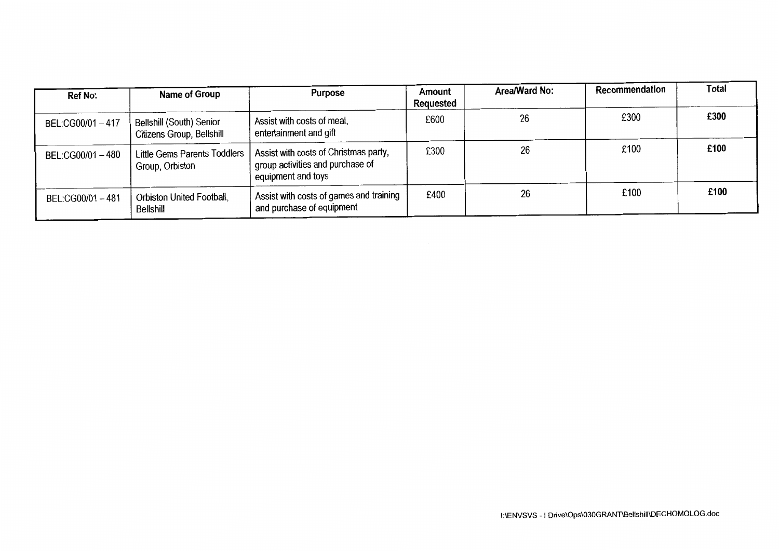| <b>Ref No:</b>    | Name of Group                                                | Purpose                                                                                         | Amount<br>Requested | Area/Ward No: | Recommendation | Total |
|-------------------|--------------------------------------------------------------|-------------------------------------------------------------------------------------------------|---------------------|---------------|----------------|-------|
| BEL:CG00/01-417   | <b>Bellshill (South) Senior</b><br>Citizens Group, Bellshill | Assist with costs of meal,<br>entertainment and gift                                            | £600                | 26            | £300           | £300  |
| BEL:CG00/01-480   | <b>Little Gems Parents Toddlers</b><br>Group, Orbiston       | Assist with costs of Christmas party,<br>group activities and purchase of<br>equipment and toys | £300                | 26            | £100           | £100  |
| BEL:CG00/01 - 481 | Orbiston United Football,<br>Bellshill                       | Assist with costs of games and training<br>and purchase of equipment                            | £400                | 26            | £100           | £100  |